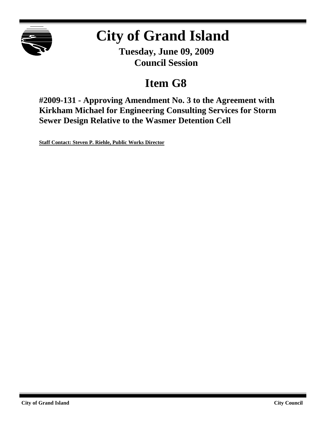

# **City of Grand Island**

**Tuesday, June 09, 2009 Council Session**

## **Item G8**

**#2009-131 - Approving Amendment No. 3 to the Agreement with Kirkham Michael for Engineering Consulting Services for Storm Sewer Design Relative to the Wasmer Detention Cell**

**Staff Contact: Steven P. Riehle, Public Works Director**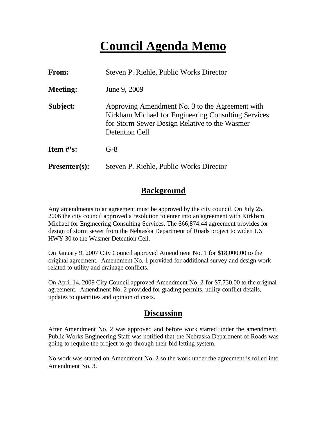## **Council Agenda Memo**

| <b>From:</b>    | Steven P. Riehle, Public Works Director                                                                                                                                   |  |  |
|-----------------|---------------------------------------------------------------------------------------------------------------------------------------------------------------------------|--|--|
| <b>Meeting:</b> | June 9, 2009                                                                                                                                                              |  |  |
| Subject:        | Approving Amendment No. 3 to the Agreement with<br>Kirkham Michael for Engineering Consulting Services<br>for Storm Sewer Design Relative to the Wasmer<br>Detention Cell |  |  |
| Item $\#$ 's:   | $G-8$                                                                                                                                                                     |  |  |
| $Presenter(s):$ | Steven P. Riehle, Public Works Director                                                                                                                                   |  |  |

### **Background**

Any amendments to an agreement must be approved by the city council. On July 25, 2006 the city council approved a resolution to enter into an agreement with Kirkham Michael for Engineering Consulting Services. The \$66,874.44 agreement provides for design of storm sewer from the Nebraska Department of Roads project to widen US HWY 30 to the Wasmer Detention Cell.

On January 9, 2007 City Council approved Amendment No. 1 for \$18,000.00 to the original agreement. Amendment No. 1 provided for additional survey and design work related to utility and drainage conflicts.

On April 14, 2009 City Council approved Amendment No. 2 for \$7,730.00 to the original agreement. Amendment No. 2 provided for grading permits, utility conflict details, updates to quantities and opinion of costs.

### **Discussion**

After Amendment No. 2 was approved and before work started under the amendment, Public Works Engineering Staff was notified that the Nebraska Department of Roads was going to require the project to go through their bid letting system.

No work was started on Amendment No. 2 so the work under the agreement is rolled into Amendment No. 3.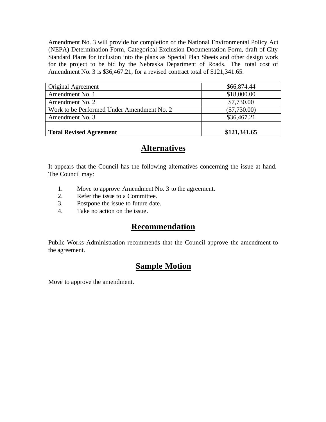Amendment No. 3 will provide for completion of the National Environmental Policy Act (NEPA) Determination Form, Categorical Exclusion Documentation Form, draft of City Standard Plans for inclusion into the plans as Special Plan Sheets and other design work for the project to be bid by the Nebraska Department of Roads. The total cost of Amendment No. 3 is \$36,467.21, for a revised contract total of \$121,341.65.

| Original Agreement                         | \$66,874.44    |
|--------------------------------------------|----------------|
| Amendment No. 1                            | \$18,000.00    |
| Amendment No. 2                            | \$7,730.00     |
| Work to be Performed Under Amendment No. 2 | $(\$7,730.00)$ |
| Amendment No. 3                            | \$36,467.21    |
| <b>Total Revised Agreement</b>             | \$121,341.65   |

## **Alternatives**

It appears that the Council has the following alternatives concerning the issue at hand. The Council may:

- 1. Move to approve Amendment No. 3 to the agreement.
- 2. Refer the issue to a Committee.
- 3. Postpone the issue to future date.
- 4. Take no action on the issue.

## **Recommendation**

Public Works Administration recommends that the Council approve the amendment to the agreement.

## **Sample Motion**

Move to approve the amendment.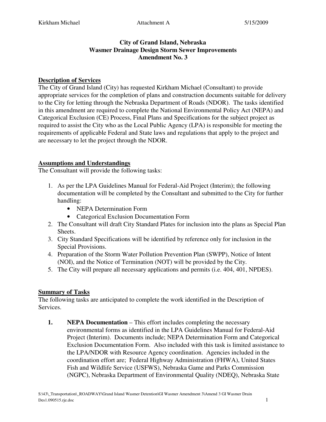#### **City of Grand Island, Nebraska Wasmer Drainage Design Storm Sewer Improvements Amendment No. 3**

#### **Description of Services**

The City of Grand Island (City) has requested Kirkham Michael (Consultant) to provide appropriate services for the completion of plans and construction documents suitable for delivery to the City for letting through the Nebraska Department of Roads (NDOR). The tasks identified in this amendment are required to complete the National Environmental Policy Act (NEPA) and Categorical Exclusion (CE) Process, Final Plans and Specifications for the subject project as required to assist the City who as the Local Public Agency (LPA) is responsible for meeting the requirements of applicable Federal and State laws and regulations that apply to the project and are necessary to let the project through the NDOR.

#### **Assumptions and Understandings**

The Consultant will provide the following tasks:

- 1. As per the LPA Guidelines Manual for Federal-Aid Project (Interim); the following documentation will be completed by the Consultant and submitted to the City for further handling:
	- NEPA Determination Form
	- Categorical Exclusion Documentation Form
- 2. The Consultant will draft City Standard Plates for inclusion into the plans as Special Plan Sheets.
- 3. City Standard Specifications will be identified by reference only for inclusion in the Special Provisions.
- 4. Preparation of the Storm Water Pollution Prevention Plan (SWPP), Notice of Intent (NOI), and the Notice of Termination (NOT) will be provided by the City.
- 5. The City will prepare all necessary applications and permits (i.e. 404, 401, NPDES).

#### **Summary of Tasks**

The following tasks are anticipated to complete the work identified in the Description of Services.

**1. NEPA Documentation** – This effort includes completing the necessary environmental forms as identified in the LPA Guidelines Manual for Federal-Aid Project (Interim). Documents include; NEPA Determination Form and Categorical Exclusion Documentation Form. Also included with this task is limited assistance to the LPA/NDOR with Resource Agency coordination. Agencies included in the coordination effort are; Federal Highway Administration (FHWA), United States Fish and Wildlife Service (USFWS), Nebraska Game and Parks Commission (NGPC), Nebraska Department of Environmental Quality (NDEQ), Nebraska State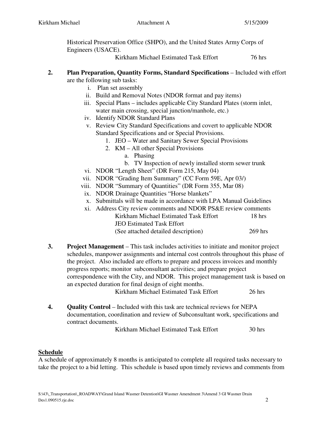Historical Preservation Office (SHPO), and the United States Army Corps of Engineers (USACE).

Kirkham Michael Estimated Task Effort 76 hrs

- **2. Plan Preparation, Quantity Forms, Standard Specifications** Included with effort are the following sub tasks:
	- i. Plan set assembly
	- ii. Build and Removal Notes (NDOR format and pay items)
	- iii. Special Plans includes applicable City Standard Plates (storm inlet, water main crossing, special junction/manhole, etc.)
	- iv. Identify NDOR Standard Plans
	- v. Review City Standard Specifications and covert to applicable NDOR Standard Specifications and or Special Provisions.
		- 1. JEO Water and Sanitary Sewer Special Provisions
		- 2. KM All other Special Provisions
			- a. Phasing
			- b. TV Inspection of newly installed storm sewer trunk
	- vi. NDOR "Length Sheet" (DR Form 215, May 04)
	- vii. NDOR "Grading Item Summary" (CC Form 59E, Apr 03/)
	- viii. NDOR "Summary of Quantities" (DR Form 355, Mar 08)
	- ix. NDOR Drainage Quantities "Horse blankets"
	- x. Submittals will be made in accordance with LPA Manual Guidelines
	- xi. Address City review comments and NDOR PS&E review comments Kirkham Michael Estimated Task Effort 18 hrs JEO Estimated Task Effort (See attached detailed description) 269 hrs
- **3. Project Management** This task includes activities to initiate and monitor project schedules, manpower assignments and internal cost controls throughout this phase of the project. Also included are efforts to prepare and process invoices and monthly progress reports; monitor subconsultant activities; and prepare project correspondence with the City, and NDOR. This project management task is based on an expected duration for final design of eight months.

Kirkham Michael Estimated Task Effort 26 hrs

**4. Quality Control** – Included with this task are technical reviews for NEPA documentation, coordination and review of Subconsultant work, specifications and contract documents.

Kirkham Michael Estimated Task Effort 30 hrs

#### **Schedule**

A schedule of approximately 8 months is anticipated to complete all required tasks necessary to take the project to a bid letting. This schedule is based upon timely reviews and comments from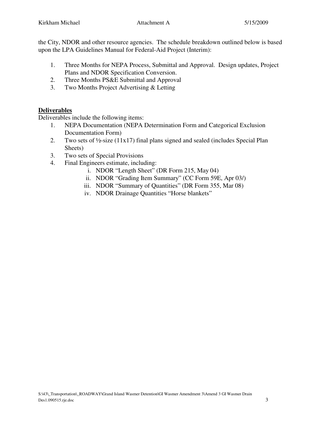the City, NDOR and other resource agencies. The schedule breakdown outlined below is based upon the LPA Guidelines Manual for Federal-Aid Project (Interim):

- 1. Three Months for NEPA Process, Submittal and Approval. Design updates, Project Plans and NDOR Specification Conversion.
- 2. Three Months PS&E Submittal and Approval
- 3. Two Months Project Advertising & Letting

#### **Deliverables**

Deliverables include the following items:

- 1. NEPA Documentation (NEPA Determination Form and Categorical Exclusion Documentation Form)
- 2. Two sets of ½-size (11x17) final plans signed and sealed (includes Special Plan Sheets)
- 3. Two sets of Special Provisions
- 4. Final Engineers estimate, including:
	- i. NDOR "Length Sheet" (DR Form 215, May 04)
	- ii. NDOR "Grading Item Summary" (CC Form 59E, Apr 03/)
	- iii. NDOR "Summary of Quantities" (DR Form 355, Mar 08)
	- iv. NDOR Drainage Quantities "Horse blankets"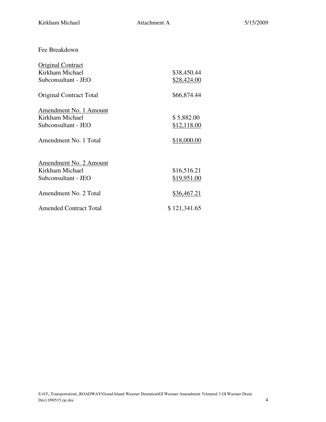Fee Breakdown

| Original Contract              |              |
|--------------------------------|--------------|
| Kirkham Michael                | \$38,450.44  |
| Subconsultant - JEO            | \$28,424.00  |
| <b>Original Contract Total</b> | \$66,874.44  |
| Amendment No. 1 Amount         |              |
| Kirkham Michael                | \$5,882.00   |
| Subconsultant - JEO            | \$12,118.00  |
| Amendment No. 1 Total          | \$18,000.00  |
| Amendment No. 2 Amount         |              |
| Kirkham Michael                | \$16,516.21  |
| Subconsultant - JEO            | \$19,951.00  |
| Amendment No. 2 Total          | \$36,467.21  |
| <b>Amended Contract Total</b>  | \$121,341.65 |